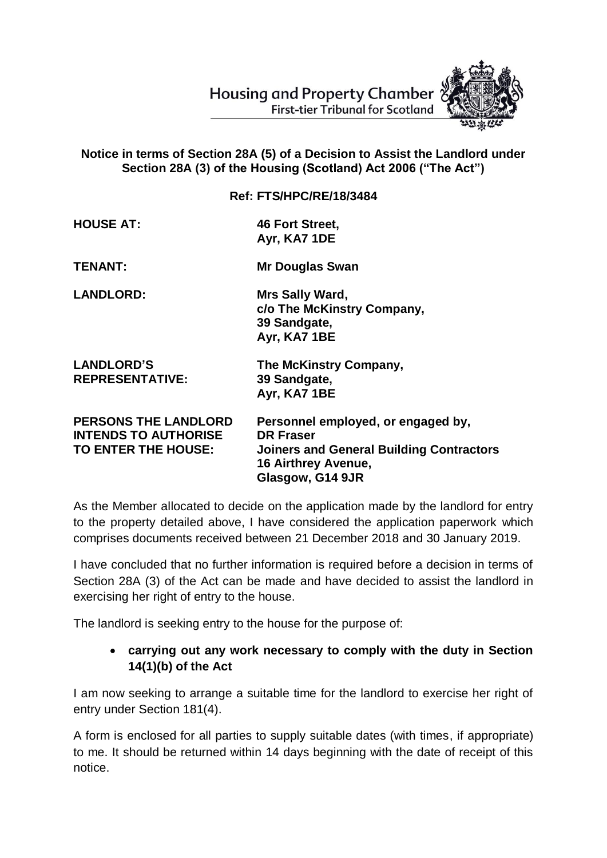**Housing and Property Chamber First-tier Tribunal for Scotland** 



## **Notice in terms of Section 28A (5) of a Decision to Assist the Landlord under Section 28A (3) of the Housing (Scotland) Act 2006 ("The Act")**

**Ref: FTS/HPC/RE/18/3484**

**HOUSE AT: 46 Fort Street, Ayr, KA7 1DE**

**TENANT: Mr Douglas Swan**

**LANDLORD: Mrs Sally Ward, c/o The McKinstry Company, 39 Sandgate, Ayr, KA7 1BE**

| <b>LANDLORD'S</b>      | The McKinstry Company, |
|------------------------|------------------------|
| <b>REPRESENTATIVE:</b> | 39 Sandgate,           |
|                        | Ayr, KA7 1BE           |

| <b>PERSONS THE LANDLORD</b><br><b>INTENDS TO AUTHORISE</b><br>TO ENTER THE HOUSE: | Personnel employed, or engaged by,<br><b>DR Fraser</b><br><b>Joiners and General Building Contractors</b> |
|-----------------------------------------------------------------------------------|-----------------------------------------------------------------------------------------------------------|
|                                                                                   | <b>16 Airthrey Avenue,</b>                                                                                |
|                                                                                   | Glasgow, G14 9JR                                                                                          |

As the Member allocated to decide on the application made by the landlord for entry to the property detailed above, I have considered the application paperwork which comprises documents received between 21 December 2018 and 30 January 2019.

I have concluded that no further information is required before a decision in terms of Section 28A (3) of the Act can be made and have decided to assist the landlord in exercising her right of entry to the house.

The landlord is seeking entry to the house for the purpose of:

## **carrying out any work necessary to comply with the duty in Section 14(1)(b) of the Act**

I am now seeking to arrange a suitable time for the landlord to exercise her right of entry under Section 181(4).

A form is enclosed for all parties to supply suitable dates (with times, if appropriate) to me. It should be returned within 14 days beginning with the date of receipt of this notice.